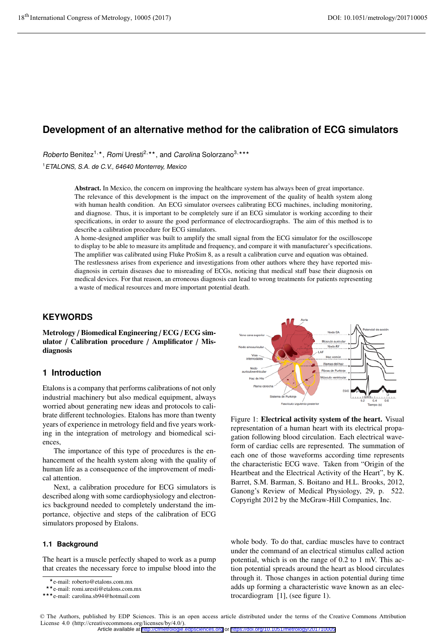# **Development of an alternative method for the calibration of ECG simulators**

Roberto Benitez<sup>1,\*</sup>, Romi Uresti<sup>2,\*\*</sup>, and Carolina Solorzano<sup>3,\*\*\*</sup>

<sup>1</sup>ETALONS, S.A. de C.V., 64640 Monterrey, Mexico

Abstract. In Mexico, the concern on improving the healthcare system has always been of great importance. The relevance of this development is the impact on the improvement of the quality of health system along with human health condition. An ECG simulator oversees calibrating ECG machines, including monitoring, and diagnose. Thus, it is important to be completely sure if an ECG simulator is working according to their specifications, in order to assure the good performance of electrocardiographs. The aim of this method is to describe a calibration procedure for ECG simulators.

A home-designed amplifier was built to amplify the small signal from the ECG simulator for the oscilloscope to display to be able to measure its amplitude and frequency, and compare it with manufacturer's specifications. The amplifier was calibrated using Fluke ProSim 8, as a result a calibration curve and equation was obtained. The restlessness arises from experience and investigations from other authors where they have reported misdiagnosis in certain diseases due to misreading of ECGs, noticing that medical staff base their diagnosis on medical devices. For that reason, an erroneous diagnosis can lead to wrong treatments for patients representing a waste of medical resources and more important potential death.

# **KEYWORDS**

Metrology / Biomedical Engineering / ECG / ECG simulator / Calibration procedure / Amplificator / Misdiagnosis

# **1 Introduction**

Etalons is a company that performs calibrations of not only industrial machinery but also medical equipment, always worried about generating new ideas and protocols to calibrate different technologies. Etalons has more than twenty years of experience in metrology field and five years working in the integration of metrology and biomedical sciences,

The importance of this type of procedures is the enhancement of the health system along with the quality of human life as a consequence of the improvement of medical attention.

Next, a calibration procedure for ECG simulators is described along with some cardiophysiology and electronics background needed to completely understand the importance, objective and steps of the calibration of ECG simulators proposed by Etalons.

## **1.1 Background**

The heart is a muscle perfectly shaped to work as a pump that creates the necessary force to impulse blood into the



Figure 1: Electrical activity system of the heart. Visual representation of a human heart with its electrical propagation following blood circulation. Each electrical waveform of cardiac cells are represented. The summation of each one of those waveforms according time represents the characteristic ECG wave. Taken from "Origin of the Heartbeat and the Electrical Activity of the Heart", by K. Barret, S.M. Barman, S. Boitano and H.L. Brooks, 2012, Ganong's Review of Medical Physiology, 29, p. 522. Copyright 2012 by the McGraw-Hill Companies, Inc.

whole body. To do that, cardiac muscles have to contract under the command of an electrical stimulus called action potential, which is on the range of 0.2 to 1 mV. This action potential spreads around the heart as blood circulates through it. Those changes in action potential during time adds up forming a characteristic wave known as an electrocardiogram [1], (see figure 1).

© The Authors, published by EDP Sciences. This is an open access article distributed under the terms of the Creative Commons Attribution License 4.0 (http://creativecommons.org/licenses/by/4.0/). Article available at <http://cfmetrologie.edpsciences.org> or <https://doi.org/10.1051/metrology/201710005>

<sup>\*</sup> e-mail: roberto@etalons.com.mx<br>\* \* e-mail: romi uresti@etalons.com

<sup>\*\*</sup>e-mail: romi.uresti@etalons.com.mx

<sup>\*\*</sup>e-mail: romi.uresti@etalons.com.mx<br>\*\*\*e-mail: carolina.sb94@hotmail.com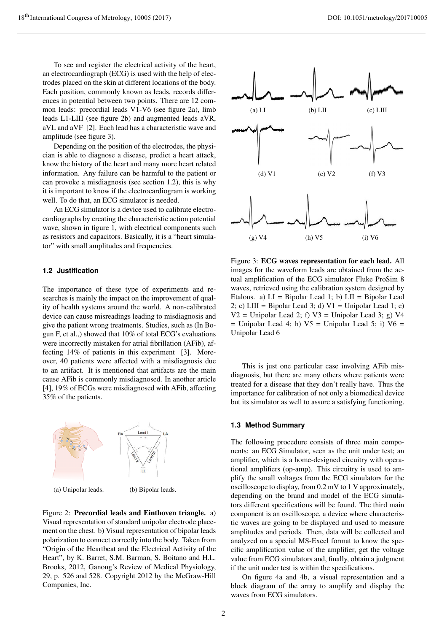To see and register the electrical activity of the heart, an electrocardiograph (ECG) is used with the help of electrodes placed on the skin at different locations of the body. Each position, commonly known as leads, records differences in potential between two points. There are 12 common leads: precordial leads V1-V6 (see figure 2a), limb leads L1-LIII (see figure 2b) and augmented leads aVR, aVL and aVF [2]. Each lead has a characteristic wave and amplitude (see figure 3).

Depending on the position of the electrodes, the physician is able to diagnose a disease, predict a heart attack, know the history of the heart and many more heart related information. Any failure can be harmful to the patient or can provoke a misdiagnosis (see section 1.2), this is why it is important to know if the electrocardiogram is working well. To do that, an ECG simulator is needed.

An ECG simulator is a device used to calibrate electrocardiographs by creating the characteristic action potential wave, shown in figure 1, with electrical components such as resistors and capacitors. Basically, it is a "heart simulator" with small amplitudes and frequencies.

## **1.2 Justification**

The importance of these type of experiments and researches is mainly the impact on the improvement of quality of health systems around the world. A non-calibrated device can cause misreadings leading to misdiagnosis and give the patient wrong treatments. Studies, such as (In Bogun F, et al.,) showed that 10% of total ECG's evaluations were incorrectly mistaken for atrial fibrillation (AFib), affecting 14% of patients in this experiment [3]. Moreover, 40 patients were affected with a misdiagnosis due to an artifact. It is mentioned that artifacts are the main cause AFib is commonly misdiagnosed. In another article [4], 19% of ECGs were misdiagnosed with AFib, affecting 35% of the patients.



(a) Unipolar leads. (b) Bipolar leads.

Figure 2: Precordial leads and Einthoven triangle. a) Visual representation of standard unipolar electrode placement on the chest. b) Visual representation of bipolar leads polarization to connect correctly into the body. Taken from "Origin of the Heartbeat and the Electrical Activity of the Heart", by K. Barret, S.M. Barman, S. Boitano and H.L. Brooks, 2012, Ganong's Review of Medical Physiology, 29, p. 526 and 528. Copyright 2012 by the McGraw-Hill Companies, Inc.



Figure 3: ECG waves representation for each lead. All images for the waveform leads are obtained from the actual amplification of the ECG simulator Fluke ProSim 8 waves, retrieved using the calibration system designed by Etalons. a)  $LI = Bipolar$  Lead 1; b)  $LII = Bipolar$  Lead 2; c) LIII = Bipolar Lead 3; d)  $V1 =$  Unipolar Lead 1; e)  $V2 =$  Unipolar Lead 2; f)  $V3 =$  Unipolar Lead 3; g) V4  $=$  Unipolar Lead 4; h) V5  $=$  Unipolar Lead 5; i) V6  $=$ Unipolar Lead 6

This is just one particular case involving AFib misdiagnosis, but there are many others where patients were treated for a disease that they don't really have. Thus the importance for calibration of not only a biomedical device but its simulator as well to assure a satisfying functioning.

## **1.3 Method Summary**

The following procedure consists of three main components: an ECG Simulator, seen as the unit under test; an amplifier, which is a home-designed circuitry with operational amplifiers (op-amp). This circuitry is used to amplify the small voltages from the ECG simulators for the oscilloscope to display, from 0.2 mV to 1 V approximately, depending on the brand and model of the ECG simulators different specifications will be found. The third main component is an oscilloscope, a device where characteristic waves are going to be displayed and used to measure amplitudes and periods. Then, data will be collected and analyzed on a special MS-Excel format to know the specific amplification value of the amplifier, get the voltage value from ECG simulators and, finally, obtain a judgment if the unit under test is within the specifications.

On figure 4a and 4b, a visual representation and a block diagram of the array to amplify and display the waves from ECG simulators.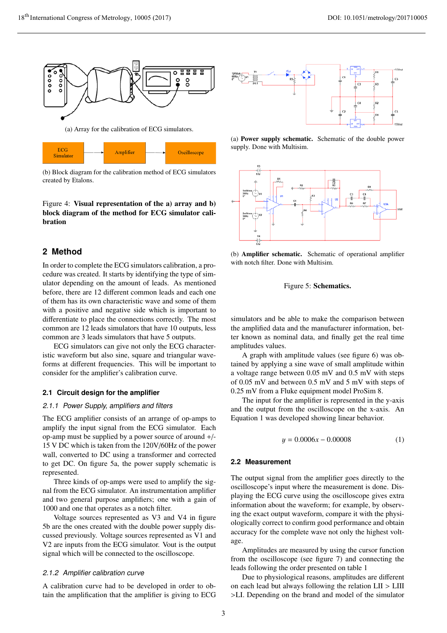

(a) Array for the calibration of ECG simulators.



(b) Block diagram for the calibration method of ECG simulators created by Etalons.

Figure 4: Visual representation of the a) array and b) block diagram of the method for ECG simulator calibration

# **2 Method**

In order to complete the ECG simulators calibration, a procedure was created. It starts by identifying the type of simulator depending on the amount of leads. As mentioned before, there are 12 different common leads and each one of them has its own characteristic wave and some of them with a positive and negative side which is important to differentiate to place the connections correctly. The most common are 12 leads simulators that have 10 outputs, less common are 3 leads simulators that have 5 outputs.

ECG simulators can give not only the ECG characteristic waveform but also sine, square and triangular waveforms at different frequencies. This will be important to consider for the amplifier's calibration curve.

### **2.1 Circuit design for the amplifier**

#### 2.1.1 Power Supply, amplifiers and filters

The ECG amplifier consists of an arrange of op-amps to amplify the input signal from the ECG simulator. Each op-amp must be supplied by a power source of around +/- 15 V DC which is taken from the 120V/60Hz of the power wall, converted to DC using a transformer and corrected to get DC. On figure 5a, the power supply schematic is represented.

Three kinds of op-amps were used to amplify the signal from the ECG simulator. An instrumentation amplifier and two general purpose amplifiers; one with a gain of 1000 and one that operates as a notch filter.

Voltage sources represented as V3 and V4 in figure 5b are the ones created with the double power supply discussed previously. Voltage sources represented as V1 and V2 are inputs from the ECG simulator. Vout is the output signal which will be connected to the oscilloscope.

## 2.1.2 Amplifier calibration curve

A calibration curve had to be developed in order to obtain the amplification that the amplifier is giving to ECG



(a) Power supply schematic. Schematic of the double power supply. Done with Multisim.



(b) Amplifier schematic. Schematic of operational amplifier with notch filter. Done with Multisim.

### Figure 5: Schematics.

simulators and be able to make the comparison between the amplified data and the manufacturer information, better known as nominal data, and finally get the real time amplitudes values.

A graph with amplitude values (see figure 6) was obtained by applying a sine wave of small amplitude within a voltage range between 0.05 mV and 0.5 mV with steps of 0.05 mV and between 0.5 mV and 5 mV with steps of 0.25 mV from a Fluke equipment model ProSim 8.

The input for the amplifier is represented in the y-axis and the output from the oscilloscope on the x-axis. An Equation 1 was developed showing linear behavior.

$$
y = 0.0006x - 0.00008\tag{1}
$$

### **2.2 Measurement**

The output signal from the amplifier goes directly to the oscilloscope's input where the measurement is done. Displaying the ECG curve using the oscilloscope gives extra information about the waveform; for example, by observing the exact output waveform, compare it with the physiologically correct to confirm good performance and obtain accuracy for the complete wave not only the highest voltage.

Amplitudes are measured by using the cursor function from the oscilloscope (see figure 7) and connecting the leads following the order presented on table 1

Due to physiological reasons, amplitudes are different on each lead but always following the relation LII > LIII >LI. Depending on the brand and model of the simulator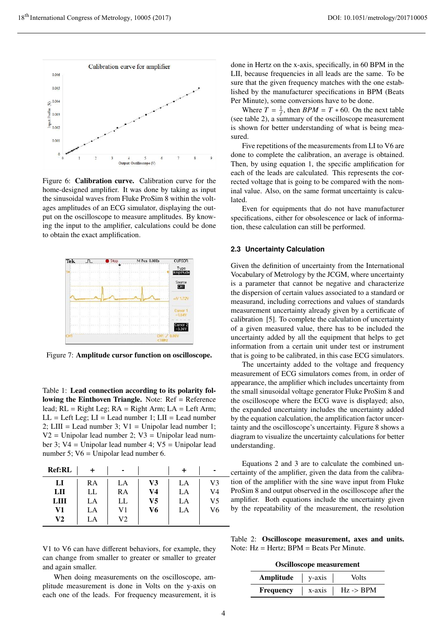

Figure 6: Calibration curve. Calibration curve for the home-designed amplifier. It was done by taking as input the sinusoidal waves from Fluke ProSim 8 within the voltages amplitudes of an ECG simulator, displaying the output on the oscilloscope to measure amplitudes. By knowing the input to the amplifier, calculations could be done to obtain the exact amplification.



Figure 7: Amplitude cursor function on oscilloscope.

Table 1: Lead connection according to its polarity following the Einthoven Triangle. Note: Ref = Reference lead;  $RL = Right Leg$ ;  $RA = Right Arm$ ;  $LA = Left Arm$ ;  $LL = Left Leg$ ;  $LI = Lead$  number 1;  $LII = Lead$  number 2; LIII = Lead number 3;  $V1 =$  Unipolar lead number 1;  $V2 =$  Unipolar lead number 2;  $V3 =$  Unipolar lead number 3; V4 = Unipolar lead number 4; V5 = Unipolar lead number 5; V6 = Unipolar lead number 6.

| <b>Ref:RL</b> |    | ۰  |    |    | ۰  |
|---------------|----|----|----|----|----|
| LI            | RA | LA | V3 | LA | V3 |
| LII           | LL | RA | V4 | LA | V4 |
| LIII          | LA | LL | V5 | LA | V5 |
| V1            | LA | V1 | V6 | LA | V6 |
| V2            | LA | V2 |    |    |    |

V1 to V6 can have different behaviors, for example, they can change from smaller to greater or smaller to greater and again smaller.

When doing measurements on the oscilloscope, amplitude measurement is done in Volts on the y-axis on each one of the leads. For frequency measurement, it is done in Hertz on the x-axis, specifically, in 60 BPM in the LII, because frequencies in all leads are the same. To be sure that the given frequency matches with the one established by the manufacturer specifications in BPM (Beats Per Minute), some conversions have to be done.

Where  $T = \frac{1}{f}$ , then  $BPM = T * 60$ . On the next table (see table 2), a summary of the oscilloscope measurement is shown for better understanding of what is being measured.

Five repetitions of the measurements from LI to V6 are done to complete the calibration, an average is obtained. Then, by using equation 1, the specific amplification for each of the leads are calculated. This represents the corrected voltage that is going to be compared with the nominal value. Also, on the same format uncertainty is calculated.

Even for equipments that do not have manufacturer specifications, either for obsolescence or lack of information, these calculation can still be performed.

## **2.3 Uncertainty Calculation**

Given the definition of uncertainty from the International Vocabulary of Metrology by the JCGM, where uncertainty is a parameter that cannot be negative and characterize the dispersion of certain values associated to a standard or measurand, including corrections and values of standards measurement uncertainty already given by a certificate of calibration [5]. To complete the calculation of uncertainty of a given measured value, there has to be included the uncertainty added by all the equipment that helps to get information from a certain unit under test or instrument that is going to be calibrated, in this case ECG simulators.

The uncertainty added to the voltage and frequency measurement of ECG simulators comes from, in order of appearance, the amplifier which includes uncertainty from the small sinusoidal voltage generator Fluke ProSim 8 and the oscilloscope where the ECG wave is displayed; also, the expanded uncertainty includes the uncertainty added by the equation calculation, the amplification factor uncertainty and the oscilloscope's uncertainty. Figure 8 shows a diagram to visualize the uncertainty calculations for better understanding.

Equations 2 and 3 are to calculate the combined uncertainty of the amplifier, given the data from the calibration of the amplifier with the sine wave input from Fluke ProSim 8 and output observed in the oscilloscope after the amplifier. Both equations include the uncertainty given by the repeatability of the measurement, the resolution

Table 2: Oscilloscope measurement, axes and units. Note:  $Hz = Hertz$ : BPM = Beats Per Minute.

Oscilloscope measurement

| Amplitude        | $v$ -axis | <b>Volts</b>         |
|------------------|-----------|----------------------|
| <b>Frequency</b> | x-axis    | $Hz \rightarrow BPM$ |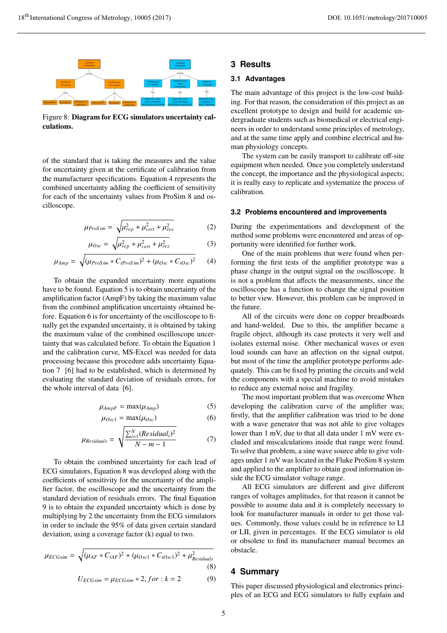

Figure 8: Diagram for ECG simulators uncertainty calculations.

of the standard that is taking the measures and the value for uncertainty given at the certificate of calibration from the manufacturer specifications. Equation 4 represents the combined uncertainty adding the coefficient of sensitivity for each of the uncertainty values from ProSim 8 and oscilloscope.

$$
\mu_{ProSim} = \sqrt{\mu_{rep}^2 + \mu_{cert}^2 + \mu_{res}^2}
$$
 (2)

$$
\mu_{Osc} = \sqrt{\mu_{rep}^2 + \mu_{cert}^2 + \mu_{res}^2}
$$
 (3)

$$
\mu_{Amp} = \sqrt{(\mu_{ProSim} * C_{iProSim})^2 + (\mu_{Osc} * C_{iOsc})^2}
$$
 (4)

To obtain the expanded uncertainty more equations have to be found. Equation 5 is to obtain uncertainty of the amplification factor (AmpF) by taking the maximum value from the combined amplification uncertainty obtained before. Equation 6 is for uncertainty of the oscilloscope to finally get the expanded uncertainty, it is obtained by taking the maximum value of the combined oscilloscope uncertainty that was calculated before. To obtain the Equation 1 and the calibration curve, MS-Excel was needed for data processing because this procedure adds uncertainty Equation 7 [6] had to be established, which is determined by evaluating the standard deviation of residuals errors, for the whole interval of data [6].

$$
\mu_{AmpF} = \max(\mu_{Amp})
$$
 (5)

$$
\mu_{Osc1} = \max(\mu_{Osc}) \tag{6}
$$

$$
\mu_{Residuals} = \sqrt{\frac{\sum_{i=1}^{N} (Residual_i)^2}{N - m - 1}}
$$
(7)

To obtain the combined uncertainty for each lead of ECG simulators, Equation 8 was developed along with the coefficients of sensitivity for the uncertainty of the amplifier factor, the oscilloscope and the uncertainty from the standard deviation of residuals errors. The final Equation 9 is to obtain the expanded uncertainty which is done by multiplying by 2 the uncertainty from the ECG simulators in order to include the 95% of data given certain standard deviation, using a coverage factor (k) equal to two.

$$
\mu_{ECGsim} = \sqrt{(\mu_{AF} * C_{iAF})^2 + (\mu_{Osc1} * C_{iOsc1})^2 + \mu_{Residuals}^2}
$$
\n(8)  
\n
$$
U_{ECGsim} = \mu_{ECGsim} * 2, for : k = 2
$$
\n(9)

# **3 Results**

# **3.1 Advantages**

The main advantage of this project is the low-cost building. For that reason, the consideration of this project as an excellent prototype to design and build for academic undergraduate students such as biomedical or electrical engineers in order to understand some principles of metrology, and at the same time apply and combine electrical and human physiology concepts.

The system can be easily transport to calibrate off-site equipment when needed. Once you completely understand the concept, the importance and the physiological aspects; it is really easy to replicate and systematize the process of calibration.

#### **3.2 Problems encountered and improvements**

During the experimentations and development of the method some problems were encountered and areas of opportunity were identified for further work.

One of the main problems that were found when performing the first tests of the amplifier prototype was a phase change in the output signal on the oscilloscope. It is not a problem that affects the measurements, since the oscilloscope has a function to change the signal position to better view. However, this problem can be improved in the future.

All of the circuits were done on copper breadboards and hand-welded. Due to this, the amplifier became a fragile object, although its case protects it very well and isolates external noise. Other mechanical waves or even loud sounds can have an affection on the signal output, but most of the time the amplifier prototype performs adequately. This can be fixed by printing the circuits and weld the components with a special machine to avoid mistakes to reduce any external noise and fragility.

The most important problem that was overcome When developing the calibration curve of the amplifier was; firstly, that the amplifier calibration was tried to be done with a wave generator that was not able to give voltages lower than 1 mV, due to that all data under 1 mV were excluded and miscalculations inside that range were found. To solve that problem, a sine wave source able to give voltages under 1 mV was located in the Fluke ProSim 8 system and applied to the amplifier to obtain good information inside the ECG simulator voltage range.

All ECG simulators are different and give different ranges of voltages amplitudes, for that reason it cannot be possible to assume data and it is completely necessary to look for manufacturer manuals in order to get those values. Commonly, those values could be in reference to LI or LII, given in percentages. If the ECG simulator is old or obsolete to find its manufacturer manual becomes an obstacle.

## **4 Summary**

This paper discussed physiological and electronics principles of an ECG and ECG simulators to fully explain and